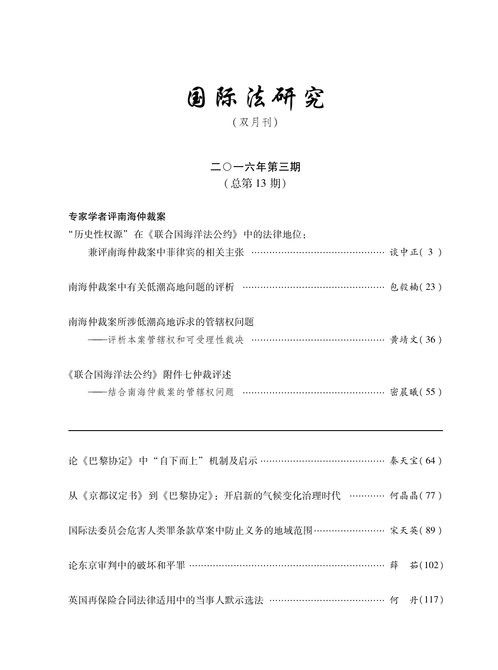## 国际法研究

## (双月刊)

二〇一六年第三期 (总第13期)

专家学者评南海仲裁案

| "历史性权源"在《联合国海洋法公约》中的法律地位:                      |  |  |
|------------------------------------------------|--|--|
| 兼评南海仲裁案中菲律宾的相关主张 ……………………………………… 谈中正(3)        |  |  |
| 南海仲裁案中有关低潮高地问题的评析 ……………………………………… 包毅楠(23)      |  |  |
| 南海仲裁案所涉低潮高地诉求的管辖权问题                            |  |  |
| ----评析本案管辖权和可受理性裁决 …………………………………… 黄靖文(36)      |  |  |
| 《联合国海洋法公约》附件七仲裁评述                              |  |  |
| ----结合南海仲裁案的管辖权问题 ………………………………………… 密晨曦(55)     |  |  |
|                                                |  |  |
| 论《巴黎协定》中"自下而上"机制及启示 …………………………………… 秦天宝(64)     |  |  |
| 从《京都议定书》到《巴黎协定》: 开启新的气候变化治理时代 ………… 何晶晶(77)     |  |  |
| 国际法委员会危害人类罪条款草案中防止义务的地域范围…………………… 宋天英(89)      |  |  |
| 论东京审判中的破坏和平罪 ……………………………………………………………… 薛 茹(102) |  |  |
| 英国再保险合同法律适用中的当事人默示选法 ………………………………… 何 丹(117)    |  |  |